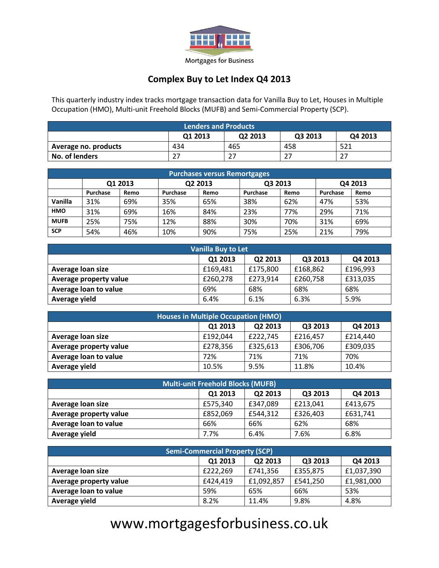

Mortgages for Business

## **Complex Buy to Let Index Q4 2013**

This quarterly industry index tracks mortgage transaction data for Vanilla Buy to Let, Houses in Multiple Occupation (HMO), Multi-unit Freehold Blocks (MUFB) and Semi-Commercial Property (SCP).

| <b>Lenders and Products</b>              |     |     |     |     |  |  |  |
|------------------------------------------|-----|-----|-----|-----|--|--|--|
| Q2 2013<br>Q1 2013<br>Q3 2013<br>Q4 2013 |     |     |     |     |  |  |  |
| Average no. products                     | 434 | 465 | 458 | 521 |  |  |  |
| No. of lenders                           |     | דר  | 27  | ີ   |  |  |  |

| <b>Purchases versus Remortgages</b> |          |         |          |      |          |      |          |      |
|-------------------------------------|----------|---------|----------|------|----------|------|----------|------|
|                                     |          | Q1 2013 | Q2 2013  |      | Q3 2013  |      | Q4 2013  |      |
|                                     | Purchase | Remo    | Purchase | Remo | Purchase | Remo | Purchase | Remo |
| Vanilla                             | 31%      | 69%     | 35%      | 65%  | 38%      | 62%  | 47%      | 53%  |
| <b>HMO</b>                          | 31%      | 69%     | 16%      | 84%  | 23%      | 77%  | 29%      | 71%  |
| <b>MUFB</b>                         | 25%      | 75%     | 12%      | 88%  | 30%      | 70%  | 31%      | 69%  |
| <b>SCP</b>                          | 54%      | 46%     | 10%      | 90%  | 75%      | 25%  | 21%      | 79%  |

| <b>Vanilla Buy to Let</b> |          |          |          |          |  |  |
|---------------------------|----------|----------|----------|----------|--|--|
|                           | Q1 2013  | Q2 2013  | Q3 2013  | Q4 2013  |  |  |
| Average loan size         | £169,481 | £175,800 | £168,862 | £196,993 |  |  |
| Average property value    | £260,278 | £273,914 | £260,758 | £313,035 |  |  |
| Average loan to value     | 69%      | 68%      | 68%      | 68%      |  |  |
| Average yield             | 6.4%     | 6.1%     | 6.3%     | 5.9%     |  |  |

| <b>Houses in Multiple Occupation (HMO)</b> |          |          |          |          |  |  |  |
|--------------------------------------------|----------|----------|----------|----------|--|--|--|
| Q4 2013<br>Q1 2013<br>Q2 2013<br>Q3 2013   |          |          |          |          |  |  |  |
| Average loan size                          | £192,044 | £222,745 | £216,457 | £214,440 |  |  |  |
| Average property value                     | £278,356 | £325,613 | £306,706 | £309,035 |  |  |  |
| Average loan to value                      | 72%      | 71%      | 71%      | 70%      |  |  |  |
| Average yield                              | 10.5%    | 9.5%     | 11.8%    | 10.4%    |  |  |  |

| <b>Multi-unit Freehold Blocks (MUFB)</b> |          |          |          |          |  |  |  |
|------------------------------------------|----------|----------|----------|----------|--|--|--|
| Q1 2013<br>Q2 2013<br>Q4 2013<br>Q3 2013 |          |          |          |          |  |  |  |
| Average loan size                        | £575,340 | £347,089 | £213,041 | £413,675 |  |  |  |
| <b>Average property value</b>            | £852,069 | £544,312 | £326,403 | £631,741 |  |  |  |
| Average loan to value                    | 66%      | 66%      | 62%      | 68%      |  |  |  |
| Average yield                            | 7.7%     | 6.4%     | 7.6%     | 6.8%     |  |  |  |

| <b>Semi-Commercial Property (SCP)</b>    |          |            |          |            |  |  |  |
|------------------------------------------|----------|------------|----------|------------|--|--|--|
| Q4 2013<br>Q1 2013<br>Q2 2013<br>Q3 2013 |          |            |          |            |  |  |  |
| Average loan size                        | £222,269 | £741,356   | £355,875 | £1,037,390 |  |  |  |
| Average property value                   | £424,419 | £1,092,857 | £541,250 | £1,981,000 |  |  |  |
| Average loan to value                    | 59%      | 65%        | 66%      | 53%        |  |  |  |
| Average yield                            | 8.2%     | 11.4%      | 9.8%     | 4.8%       |  |  |  |

# [www.mortgagesforbusiness.co.uk](http://www.mortgagesforbusiness.co.uk/)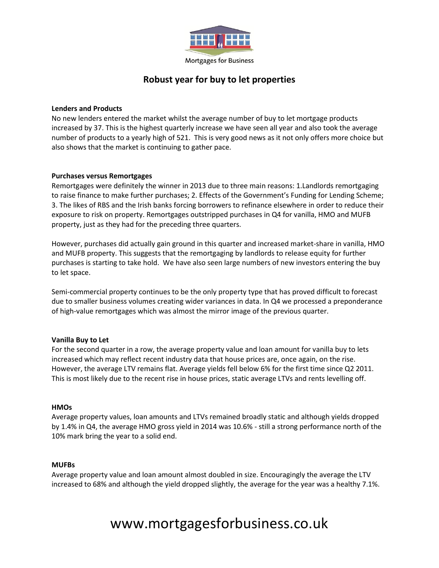

# **Robust year for buy to let properties**

### **Lenders and Products**

No new lenders entered the market whilst the average number of buy to let mortgage products increased by 37. This is the highest quarterly increase we have seen all year and also took the average number of products to a yearly high of 521. This is very good news as it not only offers more choice but also shows that the market is continuing to gather pace.

### **Purchases versus Remortgages**

Remortgages were definitely the winner in 2013 due to three main reasons: 1.Landlords remortgaging to raise finance to make further purchases; 2. Effects of the Government's Funding for Lending Scheme; 3. The likes of RBS and the Irish banks forcing borrowers to refinance elsewhere in order to reduce their exposure to risk on property. Remortgages outstripped purchases in Q4 for vanilla, HMO and MUFB property, just as they had for the preceding three quarters.

However, purchases did actually gain ground in this quarter and increased market-share in vanilla, HMO and MUFB property. This suggests that the remortgaging by landlords to release equity for further purchases is starting to take hold. We have also seen large numbers of new investors entering the buy to let space.

Semi-commercial property continues to be the only property type that has proved difficult to forecast due to smaller business volumes creating wider variances in data. In Q4 we processed a preponderance of high-value remortgages which was almost the mirror image of the previous quarter.

#### **Vanilla Buy to Let**

For the second quarter in a row, the average property value and loan amount for vanilla buy to lets increased which may reflect recent industry data that house prices are, once again, on the rise. However, the average LTV remains flat. Average yields fell below 6% for the first time since Q2 2011. This is most likely due to the recent rise in house prices, static average LTVs and rents levelling off.

#### **HMOs**

Average property values, loan amounts and LTVs remained broadly static and although yields dropped by 1.4% in Q4, the average HMO gross yield in 2014 was 10.6% - still a strong performance north of the 10% mark bring the year to a solid end.

#### **MUFBs**

Average property value and loan amount almost doubled in size. Encouragingly the average the LTV increased to 68% and although the yield dropped slightly, the average for the year was a healthy 7.1%.

# [www.mortgagesforbusiness.co.uk](http://www.mortgagesforbusiness.co.uk/)